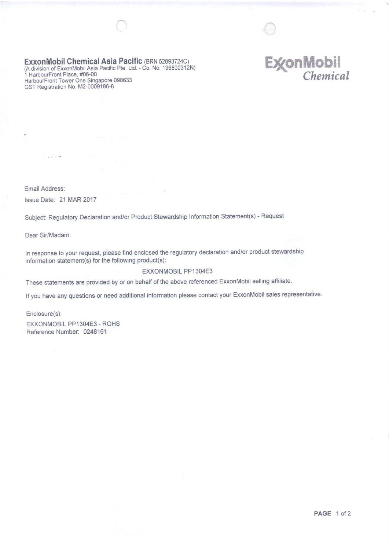ExxonMobil Chemical Asia Pacific (BRN 52893724C) (A division of ExxonMobil Asia Pacific Pte. Ltd. - Co. No. 196800312N) 1 HarbourFront Place, #06-00 HarbourFront Tower One Singapore 098633 GST Registration No. M2-0009186-8

## **ExonMobil** Chemical

Email Address:

lssue Date: 21 MAR 2017

Subject: Regulatory Declaration and/or Product Stewardship Information Statement(s) - Request

Dear Sir/Madam:

ln response to your request, please find enclosed the regulatory declaration and/or product stewardship information statement(s) for the following product(s):

EXXONMOBIL PP13O4E3

These statements are provided by or on behalf of the above referenced ExxonMobil selling affiliate.

If you have any questions or need additional information please contact your ExxonMobil sales representative.

Enclosure(s):

EXXONMOBIL PP13O4E3 - ROHS Reference Number: 0248161